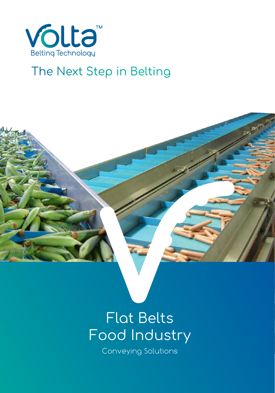

## The Next Step in Belting

# Flat Belts Flat Belts<br>Food Industry

Conveying Solutions Conveying Solutions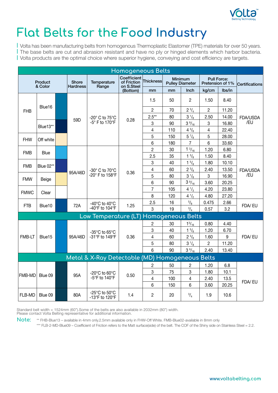

# **Flat Belts for the Food Industry**

| Volta has been manufacturing belts from homogenous Thermoplastic Elastomer (TPE) materials for over 50 years. | The base belts are cut and abrasion resistant and have no ply or hinged elements which harbor bacteria. | Volta products are the optimal choice where superior hygiene, conveying and cost efficiency are targets.

|             | <b>Homogeneous Belts</b> |  |                                 |                                                       |                                            |                |     |                                          |                |                                        |                 |        |
|-------------|--------------------------|--|---------------------------------|-------------------------------------------------------|--------------------------------------------|----------------|-----|------------------------------------------|----------------|----------------------------------------|-----------------|--------|
|             | Product<br>& Color       |  | <b>Shore</b><br><b>Hardness</b> | <b>Temperature</b><br>Range                           | Coefficient<br>of Friction<br>on S.Steel   | Thickness∣     |     | <b>Minimum</b><br><b>Pulley Diameter</b> |                | <b>Pull Force:</b><br>Pretension of 1% | Certifications  |        |
|             |                          |  |                                 |                                                       | (Bottom)                                   | mm             | mm  | Inch                                     | kg/cm          | lbs/in                                 |                 |        |
|             |                          |  |                                 |                                                       |                                            | 1.5            | 50  | $\overline{2}$                           | 1.50           | 8.40                                   |                 |        |
| <b>FHB</b>  | Blue16                   |  |                                 |                                                       |                                            | $\overline{2}$ | 70  | $2 \frac{3}{4}$                          | $\overline{2}$ | 11.20                                  |                 |        |
|             |                          |  | 59D                             | -20° C to 75°C                                        | 0.28                                       | $2.5***$       | 80  | $3\frac{1}{8}$                           | 2.50           | 14.00                                  | FDA/USDA        |        |
|             |                          |  |                                 | -5° F to 170°F                                        |                                            | 3              | 90  | $3\frac{9}{16}$                          | 3              | 16.80                                  | /EU             |        |
|             | Blue13**                 |  |                                 |                                                       |                                            | 4              | 110 | $4^{3}/_{8}$                             | 4              | 22.40                                  |                 |        |
| <b>FHW</b>  | Off white                |  |                                 |                                                       |                                            | 5              | 150 | $5\frac{7}{8}$                           | 5              | 28.00                                  |                 |        |
|             |                          |  |                                 |                                                       |                                            | 6              | 180 | $\overline{7}$                           | 6              | 33.60                                  |                 |        |
| <b>FMB</b>  | <b>Blue</b>              |  |                                 |                                                       |                                            | $\overline{c}$ | 30  | $1 \frac{3}{16}$                         | 1.20           | 6.80                                   |                 |        |
|             |                          |  |                                 | -30° C to 70°C<br>-20° F to 158°F                     | 0.36                                       | 2.5            | 35  | $1 \frac{3}{8}$                          | 1.50           | 8.40                                   | FDA/USDA<br>/EU |        |
| <b>FMB</b>  | Blue 02**                |  |                                 |                                                       |                                            | 3              | 40  | $1\frac{5}{8}$                           | 1.80           | 10.10                                  |                 |        |
|             |                          |  | 95A/46D                         |                                                       |                                            | 4              | 60  | $2^{3}/_{8}$                             | 2.40           | 13.50                                  |                 |        |
| <b>FMW</b>  | Beige                    |  |                                 |                                                       |                                            | 5              | 80  | $3\frac{1}{8}$                           | $\mathbf 3$    | 16.90                                  |                 |        |
|             |                          |  |                                 |                                                       |                                            | 6              | 90  | $3\frac{9}{16}$                          | 3.60           | 20.25                                  |                 |        |
| <b>FMWC</b> | Clear                    |  |                                 |                                                       |                                            | 7              | 105 | $4\frac{1}{3}$                           | 4.20           | 23.80                                  |                 |        |
|             |                          |  |                                 |                                                       |                                            | 8              | 120 | $4^{1/2}$                                | 4.80           | 27.20                                  |                 |        |
| FTB         | Blue10                   |  |                                 |                                                       | -40 $^{\circ}$ C to 40 $^{\circ}$ C<br>72A | 1.25           | 2.5 | 16                                       | $^{5/6}$       | 0.475                                  | 2.66            | FDA/EU |
|             |                          |  |                                 | -40°F to 104°F                                        |                                            | 3              | 19  | $^{3}/_{4}$                              | 0.57           | 3.2                                    |                 |        |
|             |                          |  |                                 | Low Temperature (LT) Homogeneous Belts                |                                            |                |     |                                          |                |                                        |                 |        |
|             |                          |  |                                 |                                                       |                                            | $\overline{c}$ | 30  | $1^{3}/_{16}$                            | 0.80           | 4.40                                   |                 |        |
|             |                          |  |                                 | -35°C to 65°C                                         |                                            | 3              | 40  | $1\frac{5}{8}$                           | 1.20           | 6.70                                   |                 |        |
| FMB-LT      | Blue15                   |  | 95A/46D                         | -31°F to 149°F                                        | 0.36                                       | 4              | 60  | $2^{3}/_{8}$                             | 1.60           | 9                                      | FDA/EU          |        |
|             |                          |  |                                 |                                                       |                                            | 5              | 80  | $3\frac{1}{8}$                           | $\overline{c}$ | 11.20                                  |                 |        |
|             |                          |  |                                 |                                                       |                                            | 6              | 90  | $3\frac{9}{16}$                          | 2.40           | 13.40                                  |                 |        |
|             |                          |  |                                 | Metal & X-Ray Detectable (MD) Homogeneous Belts       |                                            |                |     |                                          |                |                                        |                 |        |
|             |                          |  |                                 |                                                       |                                            | $\overline{c}$ | 50  | $\mathbf{2}$                             | 1.20           | 6.8                                    |                 |        |
|             |                          |  |                                 | -20°C to 60°C                                         |                                            | 3              | 75  | 3                                        | 1.80           | 10.1                                   |                 |        |
| FMB-MD      | Blue 09                  |  | 95A                             | -5°F to 140°F                                         | 0.50                                       | 4              | 100 | 4                                        | 2.40           | 13.5                                   |                 |        |
|             |                          |  |                                 |                                                       |                                            | 6              | 150 | 6                                        | 3.60           | 20.25                                  | FDA/EU          |        |
| FLB-MD      | Blue 09                  |  | 80A                             | -25 $^{\circ}$ C to 50 $^{\circ}$ C<br>-13°F to 120°F | 1.4                                        | $\overline{c}$ | 20  | $^{3}/_{4}$                              | 1.9            | 10.6                                   |                 |        |

Standard belt width = 1524mm (60").Some of the belts are also available in 2032mm (80") width.

Please contact Volta Belting representative for additional information.

**Note:** \*\* FHB-Blue13 – available in 4mm only.2.5mm available only in FHW-Off White. FMB-Blue02-available in 8mm only \*\*\* FLB-2-MD-Blue09 – Coefficient of Friction refers to the Matt surface(side) of the belt. The COF of the Shiny side on Stainless Steel = 2.2.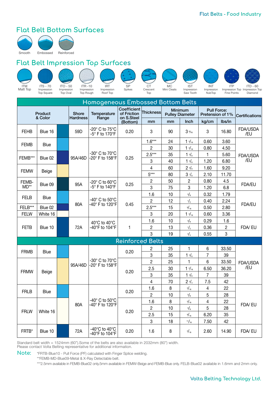### **Flat Belt Bottom Surfaces**



**Flat Belt Impression Top Surfaces**



| Homogeneous Embossed Bottom Belts |                    |  |                                 |                                                        |                                          |                |    |                                          |                |                                        |                 |
|-----------------------------------|--------------------|--|---------------------------------|--------------------------------------------------------|------------------------------------------|----------------|----|------------------------------------------|----------------|----------------------------------------|-----------------|
|                                   | Product<br>& Color |  | <b>Shore</b><br><b>Hardness</b> | <b>Temperature</b><br>Range                            | Coefficient<br>of Friction<br>on S.Steel | Thickness∣     |    | <b>Minimum</b><br><b>Pulley Diameter</b> |                | <b>Pull Force:</b><br>Pretension of 1% | Certifications  |
|                                   |                    |  |                                 |                                                        | (Bottom)                                 | mm             | mm | Inch                                     | kg/cm          | lbs/in                                 |                 |
| <b>FEHB</b>                       | Blue 16            |  | 59D                             | -20° C to 75°C<br>-5° F to 170°F                       | 0.20                                     | 3              | 90 | $3\frac{9}{16}$                          | 3              | 16.80                                  | FDA/USDA<br>/EU |
|                                   |                    |  |                                 |                                                        |                                          | $1.6***$       | 24 | $1 \frac{3}{16}$                         | 0.60           | 3.60                                   |                 |
| <b>FEMB</b>                       | Blue               |  |                                 |                                                        |                                          | 2              | 30 | $1 \frac{3}{16}$                         | 0.80           | 4.50                                   |                 |
|                                   |                    |  |                                 | -30° C to 70°C                                         |                                          | $2.5***$       | 35 | $1 \frac{3}{8}$                          | 1              | 5.60                                   | FDA/USDA        |
| FEMB***                           | Blue 02            |  | 95A/46D                         | -20° F to 158°F                                        | 0.25                                     | 3              | 40 | $1\frac{5}{8}$                           | 1.20           | 6.80                                   | /EU             |
|                                   |                    |  |                                 |                                                        |                                          | 4              | 60 | $2 \frac{3}{8}$                          | 1.60           | 9.20                                   |                 |
| <b>FEMW</b>                       | Beige              |  |                                 |                                                        |                                          | $5***$         | 80 | $3\frac{1}{8}$                           | 2.10           | 11.70                                  |                 |
| FEMB-                             | Blue 09            |  | 95A                             | -20° C to 60°C                                         | 0.25                                     | 2              | 50 | $\overline{c}$                           | 0.80           | 4.5                                    |                 |
| $MD**$                            |                    |  |                                 | -5° F to 140°F                                         |                                          | 3              | 75 | 3                                        | 1.20           | 6.8                                    | <b>FDA/EU</b>   |
| <b>FELB</b>                       | <b>Blue</b>        |  |                                 |                                                        |                                          | 1.6            | 10 | 3/8                                      | 0.32           | 1.79                                   |                 |
|                                   |                    |  | 80A                             | -40° C to 50°C<br>-40° F to 120°F                      | 0.45                                     | $\overline{c}$ | 12 | $\frac{1}{2}$                            | 0.40           | 2.24                                   | FDA/EU          |
| FELB***                           | Blue 02            |  |                                 |                                                        |                                          | $2.5***$       | 15 | 9/16                                     | 0.50           | 2.80                                   |                 |
| <b>FELW</b>                       | White 16           |  |                                 |                                                        |                                          | 3              | 20 | $1 \frac{3}{16}$                         | 0.60           | 3.36                                   |                 |
|                                   |                    |  |                                 | 40°C to 40°C                                           |                                          | 1.6            | 10 | 3/8                                      | 0.29           | 1.6                                    |                 |
| <b>FETB</b>                       | Blue 10            |  | 72A                             | -40°F to 104°F                                         | 1                                        | $\overline{c}$ | 13 | $\frac{1}{2}$                            | 0.36           | $\overline{c}$                         | FDA/EU          |
|                                   |                    |  |                                 |                                                        |                                          | 3              | 19 | 3/4                                      | 0.55           | 3                                      |                 |
|                                   |                    |  |                                 |                                                        | <b>Reinforced Belts</b>                  |                |    |                                          |                |                                        |                 |
|                                   |                    |  |                                 |                                                        |                                          | $\overline{c}$ | 25 | 1                                        | 6              | 33.50                                  |                 |
| <b>FRMB</b>                       | Blue               |  |                                 |                                                        | 0.20                                     | 3              | 35 | $1 \frac{3}{8}$                          | 7              | 39                                     |                 |
|                                   |                    |  |                                 | -30° C to 70°C                                         |                                          | $\overline{2}$ | 25 | 1                                        | 6              | 33.50                                  | FDA/USDA        |
|                                   |                    |  | 95A/46D                         | -20° F to 158°F                                        |                                          | 2.5            | 30 | $1 \frac{3}{16}$                         | 6.50           | 36.20                                  | /EU             |
| <b>FRMW</b>                       | Beige              |  |                                 |                                                        | 0.20                                     | 3              | 35 | $1 \frac{3}{8}$                          | $\overline{7}$ | 39                                     |                 |
|                                   |                    |  |                                 |                                                        |                                          | 4              | 70 | $2 \frac{3}{4}$                          | 7.5            | 42                                     |                 |
| <b>FRLB</b>                       | Blue               |  |                                 |                                                        | 0.20                                     | 1.6            | 8  | 5/16                                     | $\overline{4}$ | 22                                     |                 |
|                                   |                    |  |                                 |                                                        |                                          | $\overline{c}$ | 10 | 3/8                                      | 5              | 28                                     |                 |
|                                   |                    |  | 80A                             | -40 $^{\circ}$ C to 50 $^{\circ}$ C<br>-40° F to 120°F |                                          | 1.6            | 8  | 5/16                                     | 4              | 22                                     |                 |
| <b>FRLW</b>                       |                    |  |                                 |                                                        |                                          | $\overline{c}$ | 10 | $\frac{3}{8}$                            | 5              | 28                                     | FDA/EU          |
|                                   | White 16           |  |                                 |                                                        | 0.20                                     | 2.5            | 15 | 9/16                                     | 6.20           | 35                                     |                 |
|                                   |                    |  |                                 |                                                        |                                          | 3              | 18 | 11/16                                    | 7.50           | 42                                     |                 |
| FRTB*                             | Blue 10            |  | 72A                             | -40 $^{\circ}$ C to 40 $^{\circ}$ C<br>-40°F to 104°F  | 0.20                                     | 1.6            | 8  | 5/16                                     | 2.60           | 14.90                                  | FDA/EU          |

Standard belt width = 1524mm (60").Some of the belts are also available in 2032mm (80") width.

Please contact Volta Belting representative for additional information.

**Note:** \*FRTB-Blue10 - Pull Force (PF) calculated with Finger Splice welding.

\*\*FEMB-MD-Blue09-Metal & X-Ray Detectable belt.

\*\*\*2.5mm available in FEMB-Blue02 only.5mm available in FEMW-Beige and FEMB-Blue only. FELB-Blue02 available in 1.6mm and 2mm only.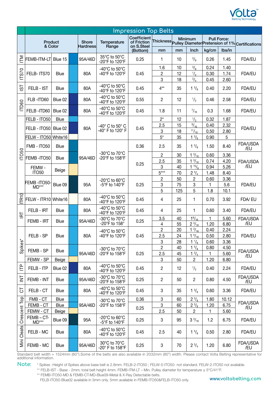

|                            |                      |                    |      |                   |                                                              | <b>Impression Top Belts</b>              |                              |                  |                                  |              |                    |                                                           |  |
|----------------------------|----------------------|--------------------|------|-------------------|--------------------------------------------------------------|------------------------------------------|------------------------------|------------------|----------------------------------|--------------|--------------------|-----------------------------------------------------------|--|
|                            |                      | Product<br>& Color |      | Shore<br>Hardness | Temperature<br>Range                                         | Coefficient<br>of Friction<br>on S.Steel |                              |                  | Minimum                          |              | <b>Pull Force:</b> | Thickness Pulley Diameter Pretension of 1% Certifications |  |
|                            |                      |                    |      |                   |                                                              | (Bottom)                                 | mm                           | mm               | Inch                             | kg/cm        | Ibs/in             |                                                           |  |
| Ξ                          | FEMB-ITM-LT Blue 15  |                    |      | 95A/46D           | 35°C to 50°C<br>-20°F to 120°F                               | 0.25                                     | 1                            | 10               | $\frac{3}{8}$                    | 0.26         | 1.45               | FDA/EU                                                    |  |
|                            |                      |                    |      |                   | -40 $^{\circ}$ C to 50 $^{\circ}$ C                          |                                          | 1.6                          | 10               | $^{3}/_{8}$                      | 0.24         | 1.40               |                                                           |  |
| <b>ITS70</b>               | FELB- ITS70          | <b>Blue</b>        |      | 80A               | -40°F to 120°F                                               | 0.45                                     | 2                            | 12<br>18         | $\frac{1}{2}$                    | 0.30         | 1.74               | FDA/EU                                                    |  |
| $\overline{5}$             | FELB - IST           | <b>Blue</b>        |      | 80A               | -40°C to 50°C<br>-40°F to 120°F                              | 0.45                                     | 3<br>$4**$                   | 35               | $^{3}/_{4}$<br>$1 \frac{3}{8}$   | 0.45<br>0.40 | 2.60<br>2.20       | FDA/EU                                                    |  |
|                            | FLB-ITD60            | Blue 02            |      | 80A               | -40 $^{\circ}$ C to 50 $^{\circ}$ C<br>-40°F to 120°F        | 0.55                                     | 2                            | 12               | $\frac{1}{2}$                    | 0.46         | 2.58               | FDA/EU                                                    |  |
| ITD60                      | FELB-ITD60           | Blue 02            |      | 80A               | -40°C to 50°C<br>-40°F to 120°F                              | 0.45                                     | 1.8                          | 11               | $^{7}/_{16}$                     | 0.3          | 1.68               | FDA/EU                                                    |  |
|                            | FELB - ITO50         | Blue               |      |                   |                                                              |                                          | $2^*$                        | 12               | $\frac{1}{2}$                    | 0.32         | 1.87               |                                                           |  |
|                            | FELB - ITO50 Blue 02 |                    |      | 80A               | -40° C to 50° C                                              | 0.45                                     | 2.5                          | 15               | 9/16                             | 0.40         | 2.32               | FDA/EU                                                    |  |
|                            |                      |                    |      |                   | -40° F to 120° F                                             |                                          | 3                            | 18               | 11/16                            | 0.50         | 2.80               |                                                           |  |
|                            | FELW - ITO50 White16 |                    |      |                   |                                                              |                                          | $5^*$                        | 35               | $1 \frac{3}{8}$                  | 0.90         | 5                  |                                                           |  |
|                            | FMB - ITO50          | Blue               |      |                   |                                                              | 0.36                                     | 2.5                          | 35               | $1 \frac{3}{8}$                  | 1.50         | 8.40               | FDA/USDA<br>/EU                                           |  |
| ITO50                      | FEMB-ITO50           | <b>Blue</b>        |      | 95A/46D           | -30 $^{\circ}$ C to 70 $^{\circ}$ C<br>-20°F to 158°F        |                                          | 2                            | 30               | $1\frac{3}{16}$                  | 0.60         | 3.36               |                                                           |  |
| FEMW-<br>ITO <sub>50</sub> |                      |                    |      |                   | 0.25                                                         | 2.5                                      | 35                           | $1 \frac{3}{16}$ | 0.74                             | 4.20         | FDA/USDA           |                                                           |  |
|                            |                      | Beige              |      |                   |                                                              |                                          | 3                            | 40               | $1^{15}/_8$                      | 0.94         | 5.26               | /EU                                                       |  |
|                            |                      |                    |      |                   |                                                              |                                          | $5***$                       | 70               | $2^{3}/_{4}$                     | 1.48         | 8.40               |                                                           |  |
|                            | FEMB-ITO50-          | Blue 09            |      | 95A               | -20°C to 60°C<br>-5°F to 140°F                               | 0.25                                     | $\overline{\mathbf{c}}$<br>3 | 50<br>75         | 2<br>3                           | 0.60<br>1    | 3.36<br>5.6        | <b>FDA/EU</b>                                             |  |
|                            | $MD***$              |                    |      |                   |                                                              |                                          | 5                            | 125              | 5                                | 1.8          | 10.1               |                                                           |  |
| <b>TR10</b>                | FELW - ITR10 White16 |                    |      | 80A               | -40 $^{\circ}$ C to 50 $^{\circ}$ C<br>-40°F to 120°F        | 0.45                                     | 4                            | 25               | 1                                | 0.70         | 3.92               | FDA/EU                                                    |  |
|                            | FELB - IRT           | <b>Blue</b>        |      | 80A               | -40 $^{\circ}$ C to 50 $^{\circ}$ C<br>-40°F to 120°F        | 0.45                                     | 4                            | 25               | 1                                | 0.60         | 3.40               | FDA/EU                                                    |  |
| E                          | FEMB - IRT           |                    | Blue | 95A/46D           | -30°C to 70°C                                                | 0.25                                     | 3.5                          | 40               | $1\frac{9}{16}$                  | 1            | 5.60               | FDA/USDA                                                  |  |
|                            |                      |                    |      |                   | -20°F to 158°                                                |                                          | 4                            | 55               | $2^{3}/_{16}$                    | 1.20         | 6.80               | /EU                                                       |  |
|                            |                      |                    |      |                   | -40°C to 50°C<br>-40°F to 120°F                              |                                          | 2                            | 20               | $1 \frac{3}{16}$                 | 0.40         | 2.24               | FDA/EU                                                    |  |
|                            | FELB - SP            | Blue               |      | 80A               |                                                              | 0.45                                     | 2.5                          | 24               | $1 \frac{5}{16}$                 | 0.50         | 2.80               |                                                           |  |
| Spikes*                    |                      |                    |      |                   |                                                              |                                          | 3<br>$\overline{c}$          | 28<br>40         | $1\frac{1}{8}$<br>$1\frac{5}{8}$ | 0.60<br>0.80 | 3.36<br>4.50       |                                                           |  |
|                            | FEMB - SP            | Blue               |      | 95A/46D           | -30 $^{\circ}$ C to 70 $^{\circ}$ C<br>-20°F to 158°F        | 0.25                                     | 2.5                          | 45               | $1 \frac{3}{4}$                  | 1.           | 5.60               | FDA/USDA                                                  |  |
|                            | FEMW - SP            | Beige              |      |                   |                                                              |                                          | 3                            | 50               | 2                                | 1.20         | 6.80               | /EU                                                       |  |
| È                          | FELB - ITP           | Blue 02            |      | 80A               | -40 $^{\circ}$ C to 50 $^{\circ}$ C<br>-40°F to 120°F        | 0.45                                     | $\mathbf{2}$                 | 12               | $\frac{1}{2}$                    | 0.40         | 2.24               | FDA/EU                                                    |  |
| 호                          | FEMB - INT           | <b>Blue</b>        |      | 95A/46D           | -30°C to 70°C<br>-20°F to 158°F                              | 0.25                                     | $\mathbf{2}$                 | 50               | $\overline{2}$                   | 0.80         | 4.50               | FDA/USDA<br>/EU                                           |  |
| 5                          | FELB - CT            | <b>Blue</b>        |      | 80A               | -40°C to 50°C<br>-40°F to 120°F                              | 0.45                                     | 3                            | 35               | $1 \frac{3}{8}$                  | 0.60         | 3.36               | <b>FDA/EU</b>                                             |  |
|                            | FMB - CT             | <b>Blue</b>        |      |                   | -30°C to 70°C                                                | 0.36                                     | $\overline{3}$               | 60               | $2^{3}/_{8}$                     | 1.80         | 10.12              |                                                           |  |
|                            | FEMB - CT            | Blue               |      | 95A/46D           | -20°F to 158°F                                               | 0.25                                     | $\ensuremath{\mathsf{3}}$    | 60               | $2^{3}/_{8}$                     | 1.20         | 6.75               | FDA/USDA<br>/EU                                           |  |
|                            | FEMW - CT            | Beige              |      |                   |                                                              |                                          | 2.5                          | 50               | 2                                | $\mathbf{1}$ | 5.60               |                                                           |  |
| Crescent Top               | FEMB-CT-<br>$MD***$  | Blue 09            |      | 95A               | -20 $^{\circ}$ C to 60 $^{\circ}$ C<br>-5°F to $140^\circ$ F | 0.25                                     | 3                            | 95               | $3\frac{3}{16}$                  | 1.2          | 6.75               | <b>FDA/EU</b>                                             |  |
| Mini Cleats                | FELB - MC            | Blue               |      | 80A               | -40°C to 50°C<br>-40°F to 120°F                              | 0.45                                     | 2.5                          | 40               | $1\frac{5}{8}$                   | 0.50         | 2.80               | <b>FDA/EU</b>                                             |  |
|                            | FEMB - MC            | Blue               |      | 95A/46D           | 30°C to 70°C<br>-20° F to 158°F                              | 0.25                                     | 3                            | 70               | $2 \frac{3}{4}$                  | 1.20         | 6.80               | FDA/USDA<br>/EU                                           |  |

Standard belt width = 1524mm (60").Some of the belts are also available in 2032mm (80") width. Please contact Volta Belting representative for additional information.

**Note:** \* Spikes -Height of Spikes above base belt is 2.8mm. FELB-2-ITO50 ; FELW-5-ITO50- not standard. FELW-2-ITO50 not available.

\*\* FELB-IST - Base - 2mm; total belt height 4mm. FEMB-ITM-LT – Min. Pulley diameter for temperature ≥ 5°C/41°F.

\*\* FEMB-ITO50-MD & FEMB-CT-MD-Blue09-Metal & X-Ray Detectable belts.

FELB-ITO50-Blue02 available in 3mm only. 5mm available in FEMB-ITO50&FELB-ITO50 only.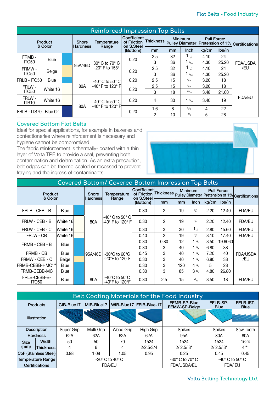| <b>Reinforced Impression Top Belts</b> |             |  |                                 |                                                                     |                                          |                  |                |                   |                                                                       |        |                        |  |
|----------------------------------------|-------------|--|---------------------------------|---------------------------------------------------------------------|------------------------------------------|------------------|----------------|-------------------|-----------------------------------------------------------------------|--------|------------------------|--|
| Product                                |             |  | <b>Shore</b><br><b>Hardness</b> | Temperature<br>Range                                                | Coefficient<br>of Friction<br>on S.Steel | <b>Thickness</b> | <b>Minimum</b> |                   | <b>Pull Force:</b><br>Pulley Diameter Pretension of 1% Certifications |        |                        |  |
| & Color                                |             |  |                                 |                                                                     | (Bottom)                                 | mm               | mm             | Inch              | kg/cm                                                                 | lbs/in |                        |  |
| FRMB-                                  | <b>Blue</b> |  |                                 |                                                                     | 0.20                                     | 2.5              | 32             | $1_{\frac{1}{4}}$ | 4.10                                                                  | 24     |                        |  |
| ITO <sub>50</sub>                      |             |  | 95A/46D                         | $30^\circ$ C to 70 $^\circ$ C<br>-20 $^{\circ}$ F to 158 $^{\circ}$ |                                          | 3                | 36             | $1_{7/16}$        | 4.30                                                                  | 25.20  | <b>FDA/USDA</b><br>/EU |  |
| FRMW-                                  |             |  |                                 |                                                                     | 0.20                                     | 2.5              | 32             | $1_{1/4}$         | 4.10                                                                  | 24     |                        |  |
| ITO <sub>50</sub>                      | Beige       |  |                                 |                                                                     |                                          | 3                | 36             | $^{7}/_{16}$      | 4.30                                                                  | 25.20  |                        |  |
| FRLB - ITO50                           | <b>Blue</b> |  |                                 | $-40^\circ$ C to 50 $^\circ$ C<br>-40° F to 120° Fl                 | 0.20                                     | 2.5              | 15             | 9/16              | 3.20                                                                  | 18     |                        |  |
| FRLW -                                 |             |  | 80A                             |                                                                     | 0.20                                     | 2.5              | 15             | 9/16              | 3.20                                                                  | 18     |                        |  |
| ITO <sub>50</sub>                      | White 16    |  |                                 |                                                                     |                                          | 3                | 18             | 11/16             | 3.48                                                                  | 21.60  |                        |  |
| FRLW -<br>ITR <sub>10</sub>            | White 16    |  | 80A                             | $-40^\circ$ C to 50 $^\circ$ C                                      | 0.20                                     | 4                | 30             | 3/16              | 3.40                                                                  | 19     | <b>FDA/EU</b>          |  |
|                                        |             |  |                                 | -40° F to 120° Fi                                                   |                                          | 1.6              | 8              | 5/16              | 4                                                                     | 22     |                        |  |
| FRLB - ITS70                           | Blue 02     |  |                                 |                                                                     | 0.20                                     | 2                | 10             | $\frac{3}{8}$     | 5                                                                     | 28     |                        |  |

#### **Covered Bottom Flat Belts**

Ideal for special applications, for example in bakeries and confectioneries where reinforcement is necessary and hygiene cannot be compromised.

The fabric reinforcement is thermally- coated with a thin layer of Volta TPE to provide a seal, preventing both contamination and delamination. As an extra precaution, belt edges can be thermo-sealed or recessed to prevent fraying and the ingress of contaminants.



| Covered Bottom/ Covered Bottom Impression Top Belts |             |                          |                      |                                                      |          |                |     |                                                                                 |       |         |                 |  |
|-----------------------------------------------------|-------------|--------------------------|----------------------|------------------------------------------------------|----------|----------------|-----|---------------------------------------------------------------------------------|-------|---------|-----------------|--|
| Product<br>& Color                                  |             | <b>Shore</b><br>Hardness | Temperature<br>Range | Coefficient<br>of Friction<br>on S.Steel             |          | <b>Minimum</b> |     | <b>Pull Force:</b><br>Thickness Pulley Diameter Pretension of 1% Certifications |       |         |                 |  |
|                                                     |             |                          |                      |                                                      | (Bottom) | mm             | mm  | <b>Inch</b>                                                                     | kg/cm | lbs/in  |                 |  |
| FRLB - CEB - B                                      | Blue        |                          |                      | -40° C to 50° C <br>-40° F to 120° Fl                | 0.30     | $\mathbf{2}$   | 19  | 3/4                                                                             | 2.20  | 12.40   | FDA/EU          |  |
| FRLW - CEB - B                                      | White 16    |                          | 80A                  |                                                      | 0.30     | $\overline{2}$ | 19  | $^{3}/_{4}$                                                                     | 2.20  | 12.40   | FDA/EU          |  |
| FRLW - CEB - C                                      | White 16    |                          |                      |                                                      | 0.30     | 3              | 30  | $1_{\frac{1}{4}}$                                                               | 2.80  | 15.60   | <b>FDA/EU</b>   |  |
| FRLW - CB                                           | lWhite 16l  |                          |                      |                                                      | 0.40     | 2              | 19  | $^{3}/_{4}$                                                                     | 3.10  | 17.40   | <b>FDA/EU</b>   |  |
|                                                     |             |                          |                      |                                                      | 0.30     | 0.80           | 12  | 1 $\frac{5}{3}$                                                                 | 3.50  | 19.6060 |                 |  |
| FRMB - CEB - B                                      | <b>Blue</b> |                          |                      |                                                      | 0.30     | 3              | 40  | $1\frac{5}{8}$                                                                  | 6.80  | 38      |                 |  |
| FRMB - CB                                           | <b>Blue</b> |                          | 95A/46D              | -30°C to 60°C.                                       | 0.45     | 3              | 40  | 1 $\frac{5}{8}$                                                                 | 7.20  | 40      | FDA/USDA<br>/EU |  |
| FRMW - CEB - C                                      | Beige       |                          |                      | -20 $\mathrm{^{\circ}F}$ to 120 $\mathrm{^{\circ}F}$ | 0.30     | 3              | 40  | $1\frac{5}{8}$                                                                  | 6.80  | 38      |                 |  |
| FRMB-CEBB-HMC***                                    | <b>Blue</b> |                          |                      |                                                      | 0.30     | 3              | 120 | $4 \frac{7}{8}$                                                                 | 5     | 28      |                 |  |
| FRMB-CEBB-MC                                        | Blue        |                          |                      |                                                      | 0.30     | 3              | 85  | $3\frac{3}{8}$                                                                  | 4.80  | 26.80   |                 |  |
| FRLB-CEBB-B-<br><b>ITO50</b>                        | Blue        |                          | 80A                  | -40°C to 50°C.<br>-40 $\degree$ F to 120 $\degree$ F | 0.30     | 2.5            | 15  | 9/16                                                                            | 3.50  | 18      | <b>FDA/EU</b>   |  |

|                          | Belt Coating Materials for the Food Industry |            |               |                                    |                                |                                      |                                   |                                 |  |  |  |  |  |
|--------------------------|----------------------------------------------|------------|---------------|------------------------------------|--------------------------------|--------------------------------------|-----------------------------------|---------------------------------|--|--|--|--|--|
| <b>Products</b>          |                                              | GIB-Blue17 | MIB-Blue17    |                                    | WIB-Blue17 FEIB-Blue-17        | <b>FEMB-SP-Blue</b><br>FEMW-SP-Beige | FELB-SP-<br><b>Blue</b>           | <b>FELB-IST-</b><br><b>Blue</b> |  |  |  |  |  |
| Illustration             |                                              |            |               |                                    |                                |                                      |                                   |                                 |  |  |  |  |  |
| <b>Description</b>       |                                              | Super Grip | Multi Grip    | Wood Grip                          | High Grip                      | <b>Spikes</b>                        | <b>Spikes</b>                     | Saw Tooth                       |  |  |  |  |  |
|                          | <b>Hardness</b>                              | 62A        | 62A           | 62A                                | 62A                            | 95A                                  | 80A                               | 80A                             |  |  |  |  |  |
| <b>Size</b>              | Width                                        | 50         | 50            | 70                                 | 1524                           | 1524                                 | 1524                              | 1524                            |  |  |  |  |  |
| (mm)                     | <b>Thickness</b>                             | 4          | 6             | 4                                  | 2/2.5/3/4                      | $2/2.5/3*$                           | $2/2.5/3*$                        | $4***$                          |  |  |  |  |  |
| CoF (Stainless Steel)    |                                              | 0.98       | 1.08          | 1.05                               | 0.95                           | 0.25                                 | 0.45                              | 0.45                            |  |  |  |  |  |
| <b>Temperature Range</b> |                                              |            |               | $-20^{\circ}$ C to 40 $^{\circ}$ C | $-30^\circ$ C to 70 $^\circ$ C |                                      | -40 $\degree$ C to 50 $\degree$ C |                                 |  |  |  |  |  |
| Certifications           |                                              |            | <b>FDA/EU</b> |                                    |                                | <b>FDA/USDA/EU</b>                   | FDA/EU                            |                                 |  |  |  |  |  |